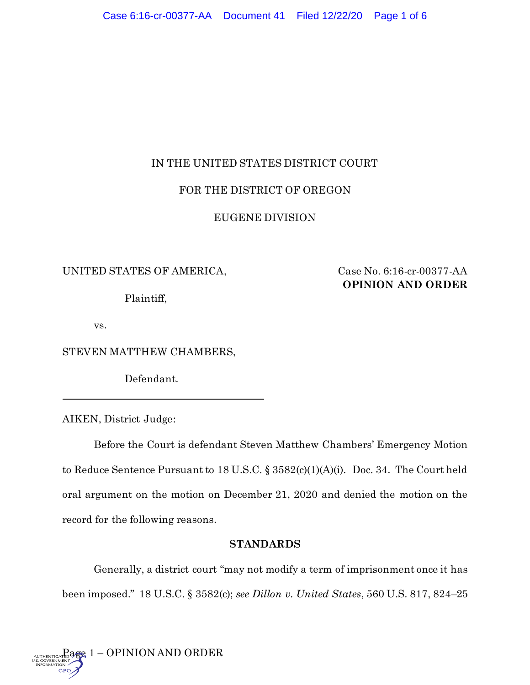# IN THE UNITED STATES DISTRICT COURT

# FOR THE DISTRICT OF OREGON

## EUGENE DIVISION

## UNITED STATES OF AMERICA, Case No. 6:16-cr-00377-AA

Plaintiff,

**OPINION AND ORDER**

vs.

STEVEN MATTHEW CHAMBERS,

Defendant.

AIKEN, District Judge:

Before the Court is defendant Steven Matthew Chambers' Emergency Motion to Reduce Sentence Pursuant to 18 U.S.C. § 3582(c)(1)(A)(i). Doc. 34. The Court held oral argument on the motion on December 21, 2020 and denied the motion on the record for the following reasons.

## **STANDARDS**

Generally, a district court "may not modify a term of imprisonment once it has been imposed." 18 U.S.C. § 3582(c); *see Dillon v. United States*, 560 U.S. 817, 824–25

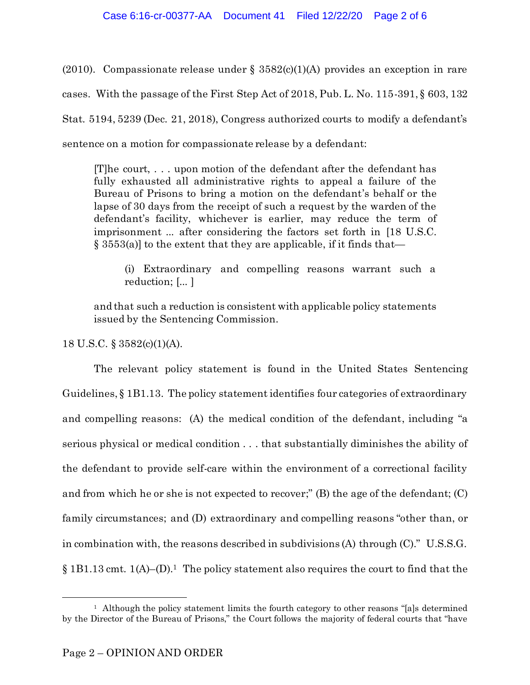(2010). Compassionate release under § 3582(c)(1)(A) provides an exception in rare cases. With the passage of the First Step Act of 2018, Pub. L. No. 115-391, § 603, 132 Stat. 5194, 5239 (Dec. 21, 2018), Congress authorized courts to modify a defendant's sentence on a motion for compassionate release by a defendant:

[T]he court, . . . upon motion of the defendant after the defendant has fully exhausted all administrative rights to appeal a failure of the Bureau of Prisons to bring a motion on the defendant's behalf or the lapse of 30 days from the receipt of such a request by the warden of the defendant's facility, whichever is earlier, may reduce the term of imprisonment ... after considering the factors set forth in [18 U.S.C.  $\S$  3553(a)] to the extent that they are applicable, if it finds that—

(i) Extraordinary and compelling reasons warrant such a reduction; [... ]

and that such a reduction is consistent with applicable policy statements issued by the Sentencing Commission.

18 U.S.C. § 3582(c)(1)(A).

The relevant policy statement is found in the United States Sentencing Guidelines, § 1B1.13. The policy statement identifies four categories of extraordinary and compelling reasons: (A) the medical condition of the defendant, including "a serious physical or medical condition . . . that substantially diminishes the ability of the defendant to provide self-care within the environment of a correctional facility and from which he or she is not expected to recover;" (B) the age of the defendant; (C) family circumstances; and (D) extraordinary and compelling reasons "other than, or in combination with, the reasons described in subdivisions (A) through (C)." U.S.S.G.  $\S 1B1.13$  cmt.  $1(A)$ –(D).<sup>1</sup> The policy statement also requires the court to find that the

<sup>&</sup>lt;sup>1</sup> Although the policy statement limits the fourth category to other reasons "[a]s determined by the Director of the Bureau of Prisons," the Court follows the majority of federal courts that "have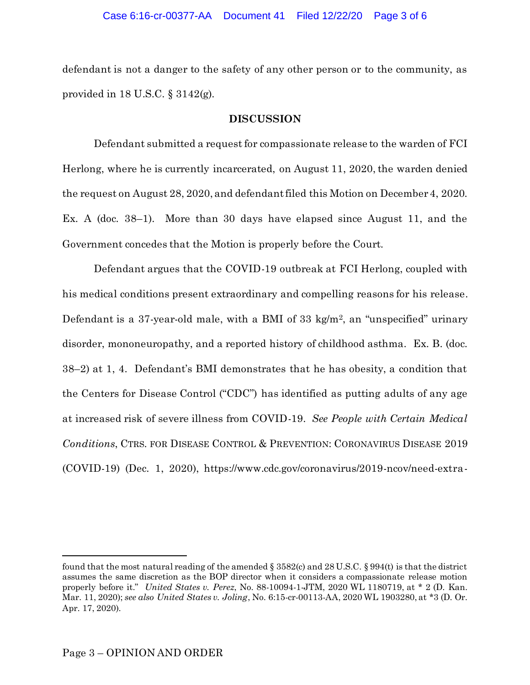defendant is not a danger to the safety of any other person or to the community, as provided in  $18$  U.S.C. §  $3142(g)$ .

### **DISCUSSION**

Defendant submitted a request for compassionate release to the warden of FCI Herlong, where he is currently incarcerated, on August 11, 2020, the warden denied the request on August 28, 2020, and defendant filed this Motion on December 4, 2020. Ex. A (doc. 38–1). More than 30 days have elapsed since August 11, and the Government concedes that the Motion is properly before the Court.

Defendant argues that the COVID-19 outbreak at FCI Herlong, coupled with his medical conditions present extraordinary and compelling reasons for his release. Defendant is a 37-year-old male, with a BMI of 33 kg/m<sup>2</sup>, an "unspecified" urinary disorder, mononeuropathy, and a reported history of childhood asthma. Ex. B. (doc. 38–2) at 1, 4. Defendant's BMI demonstrates that he has obesity, a condition that the Centers for Disease Control ("CDC") has identified as putting adults of any age at increased risk of severe illness from COVID-19. *See People with Certain Medical Conditions*, CTRS. FOR DISEASE CONTROL & PREVENTION: CORONAVIRUS DISEASE 2019 (COVID-19) (Dec. 1, 2020), https://www.cdc.gov/coronavirus/2019-ncov/need-extra-

found that the most natural reading of the amended  $\S 3582(c)$  and  $28 U.S.C.$   $\S 994(t)$  is that the district assumes the same discretion as the BOP director when it considers a compassionate release motion properly before it." *United States v. Perez*, No. 88-10094-1-JTM, 2020 WL 1180719, at \* 2 (D. Kan. Mar. 11, 2020); *see also United States v. Joling*, No. 6:15-cr-00113-AA, 2020 WL 1903280, at \*3 (D. Or. Apr. 17, 2020).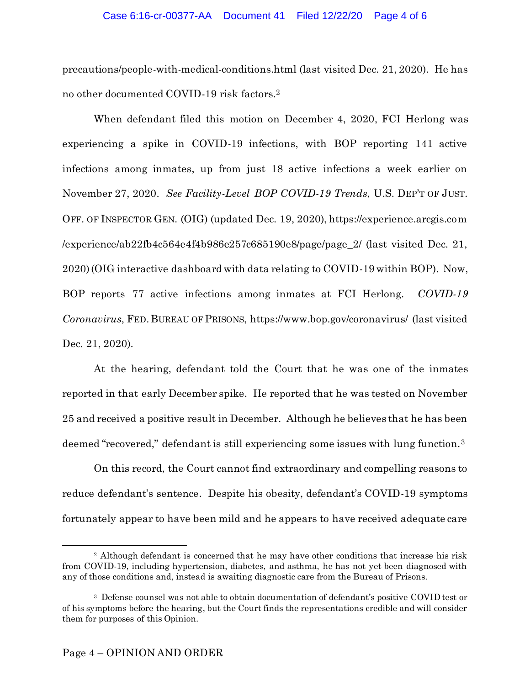#### Case 6:16-cr-00377-AA Document 41 Filed 12/22/20 Page 4 of 6

precautions/people-with-medical-conditions.html (last visited Dec. 21, 2020). He has no other documented COVID-19 risk factors.<sup>2</sup>

When defendant filed this motion on December 4, 2020, FCI Herlong was experiencing a spike in COVID-19 infections, with BOP reporting 141 active infections among inmates, up from just 18 active infections a week earlier on November 27, 2020. *See Facility-Level BOP COVID-19 Trends*, U.S. DEP'T OF JUST. OFF. OF INSPECTOR GEN. (OIG) (updated Dec. 19, 2020), https://experience.arcgis.com /experience/ab22fb4c564e4f4b986e257c685190e8/page/page\_2/ (last visited Dec. 21, 2020)(OIG interactive dashboard with data relating to COVID-19 within BOP). Now, BOP reports 77 active infections among inmates at FCI Herlong. *COVID-19 Coronavirus*, FED.BUREAU OF PRISONS, https://www.bop.gov/coronavirus/ (last visited Dec. 21, 2020).

At the hearing, defendant told the Court that he was one of the inmates reported in that early December spike. He reported that he was tested on November 25 and received a positive result in December. Although he believes that he has been deemed "recovered," defendant is still experiencing some issues with lung function.<sup>3</sup>

On this record, the Court cannot find extraordinary and compelling reasons to reduce defendant's sentence. Despite his obesity, defendant's COVID-19 symptoms fortunately appear to have been mild and he appears to have received adequate care

<sup>&</sup>lt;sup>2</sup> Although defendant is concerned that he may have other conditions that increase his risk from COVID-19, including hypertension, diabetes, and asthma, he has not yet been diagnosed with any of those conditions and, instead is awaiting diagnostic care from the Bureau of Prisons.

<sup>3</sup> Defense counsel was not able to obtain documentation of defendant's positive COVID test or of his symptoms before the hearing, but the Court finds the representations credible and will consider them for purposes of this Opinion.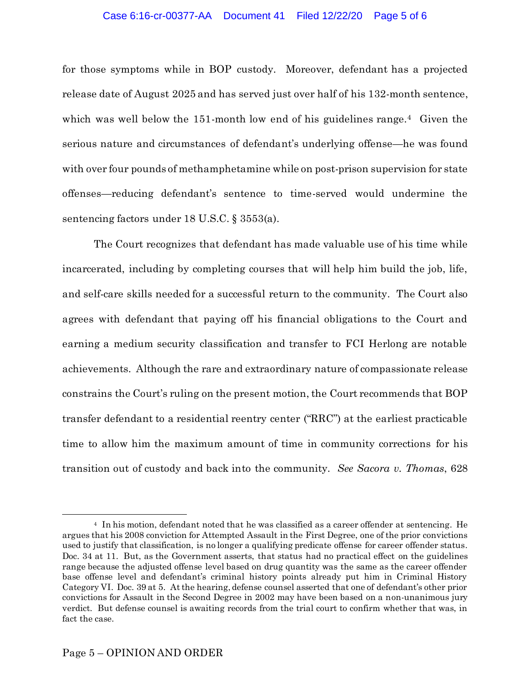#### Case 6:16-cr-00377-AA Document 41 Filed 12/22/20 Page 5 of 6

for those symptoms while in BOP custody. Moreover, defendant has a projected release date of August 2025 and has served just over half of his 132-month sentence, which was well below the 151-month low end of his guidelines range.<sup>4</sup> Given the serious nature and circumstances of defendant's underlying offense—he was found with over four pounds of methamphetamine while on post-prison supervision for state offenses—reducing defendant's sentence to time-served would undermine the sentencing factors under 18 U.S.C. § 3553(a).

The Court recognizes that defendant has made valuable use of his time while incarcerated, including by completing courses that will help him build the job, life, and self-care skills needed for a successful return to the community. The Court also agrees with defendant that paying off his financial obligations to the Court and earning a medium security classification and transfer to FCI Herlong are notable achievements. Although the rare and extraordinary nature of compassionate release constrains the Court's ruling on the present motion, the Court recommends that BOP transfer defendant to a residential reentry center ("RRC") at the earliest practicable time to allow him the maximum amount of time in community corrections for his transition out of custody and back into the community. *See Sacora v. Thomas*, 628

<sup>4</sup> In his motion, defendant noted that he was classified as a career offender at sentencing. He argues that his 2008 conviction for Attempted Assault in the First Degree, one of the prior convictions used to justify that classification, is no longer a qualifying predicate offense for career offender status. Doc. 34 at 11. But, as the Government asserts, that status had no practical effect on the guidelines range because the adjusted offense level based on drug quantity was the same as the career offender base offense level and defendant's criminal history points already put him in Criminal History Category VI. Doc. 39 at 5. At the hearing, defense counsel asserted that one of defendant's other prior convictions for Assault in the Second Degree in 2002 may have been based on a non-unanimous jury verdict. But defense counsel is awaiting records from the trial court to confirm whether that was, in fact the case.